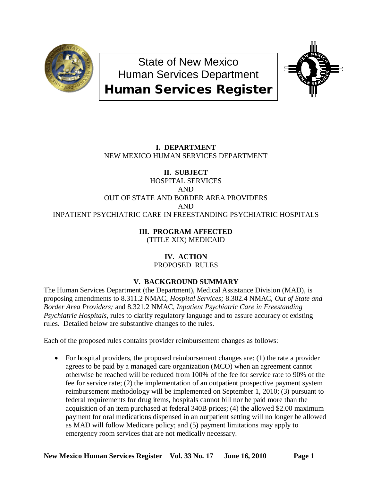

State of New Mexico Human Services Department Human Services Register



# **I. DEPARTMENT** NEW MEXICO HUMAN SERVICES DEPARTMENT

# **II. SUBJECT**

# HOSPITAL SERVICES AND OUT OF STATE AND BORDER AREA PROVIDERS AND INPATIENT PSYCHIATRIC CARE IN FREESTANDING PSYCHIATRIC HOSPITALS

# **III. PROGRAM AFFECTED**

(TITLE XIX) MEDICAID

# **IV. ACTION** PROPOSED RULES

# **V. BACKGROUND SUMMARY**

The Human Services Department (the Department), Medical Assistance Division (MAD), is proposing amendments to 8.311.2 NMAC, *Hospital Services;* 8.302.4 NMAC, *Out of State and Border Area Providers;* and 8.321.2 NMAC, *Inpatient Psychiatric Care in Freestanding Psychiatric Hospitals,* rules to clarify regulatory language and to assure accuracy of existing rules. Detailed below are substantive changes to the rules.

Each of the proposed rules contains provider reimbursement changes as follows:

• For hospital providers, the proposed reimbursement changes are: (1) the rate a provider agrees to be paid by a managed care organization (MCO) when an agreement cannot otherwise be reached will be reduced from 100% of the fee for service rate to 90% of the fee for service rate; (2) the implementation of an outpatient prospective payment system reimbursement methodology will be implemented on September 1, 2010; (3) pursuant to federal requirements for drug items, hospitals cannot bill nor be paid more than the acquisition of an item purchased at federal 340B prices; (4) the allowed \$2.00 maximum payment for oral medications dispensed in an outpatient setting will no longer be allowed as MAD will follow Medicare policy; and (5) payment limitations may apply to emergency room services that are not medically necessary.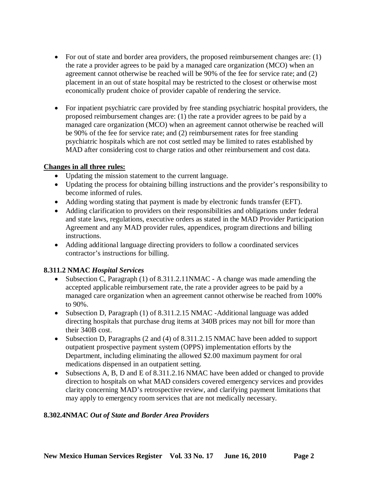- For out of state and border area providers, the proposed reimbursement changes are: (1) the rate a provider agrees to be paid by a managed care organization (MCO) when an agreement cannot otherwise be reached will be 90% of the fee for service rate; and (2) placement in an out of state hospital may be restricted to the closest or otherwise most economically prudent choice of provider capable of rendering the service.
- For inpatient psychiatric care provided by free standing psychiatric hospital providers, the proposed reimbursement changes are: (1) the rate a provider agrees to be paid by a managed care organization (MCO) when an agreement cannot otherwise be reached will be 90% of the fee for service rate; and (2) reimbursement rates for free standing psychiatric hospitals which are not cost settled may be limited to rates established by MAD after considering cost to charge ratios and other reimbursement and cost data.

### **Changes in all three rules:**

- Updating the mission statement to the current language.
- Updating the process for obtaining billing instructions and the provider's responsibility to become informed of rules.
- Adding wording stating that payment is made by electronic funds transfer (EFT).
- Adding clarification to providers on their responsibilities and obligations under federal and state laws, regulations, executive orders as stated in the MAD Provider Participation Agreement and any MAD provider rules, appendices, program directions and billing instructions.
- Adding additional language directing providers to follow a coordinated services contractor's instructions for billing.

## **8.311.2 NMAC** *Hospital Services*

- Subsection C, Paragraph (1) of 8.311.2.11NMAC A change was made amending the accepted applicable reimbursement rate, the rate a provider agrees to be paid by a managed care organization when an agreement cannot otherwise be reached from 100% to 90%.
- Subsection D, Paragraph (1) of 8.311.2.15 NMAC -Additional language was added directing hospitals that purchase drug items at 340B prices may not bill for more than their 340B cost.
- Subsection D, Paragraphs (2 and (4) of 8.311.2.15 NMAC have been added to support outpatient prospective payment system (OPPS) implementation efforts by the Department, including eliminating the allowed \$2.00 maximum payment for oral medications dispensed in an outpatient setting.
- Subsections A, B, D and E of 8.311.2.16 NMAC have been added or changed to provide direction to hospitals on what MAD considers covered emergency services and provides clarity concerning MAD's retrospective review, and clarifying payment limitations that may apply to emergency room services that are not medically necessary.

### **8.302.4NMAC** *Out of State and Border Area Providers*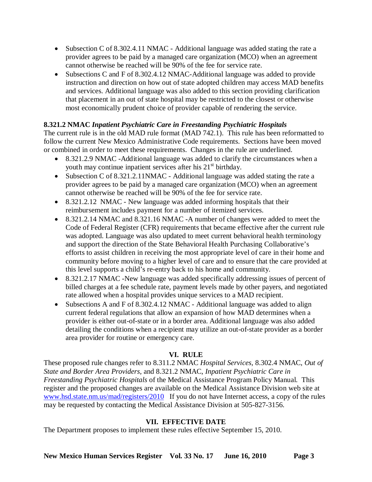- Subsection C of 8.302.4.11 NMAC Additional language was added stating the rate a provider agrees to be paid by a managed care organization (MCO) when an agreement cannot otherwise be reached will be 90% of the fee for service rate.
- Subsections C and F of 8.302.4.12 NMAC-Additional language was added to provide instruction and direction on how out of state adopted children may access MAD benefits and services. Additional language was also added to this section providing clarification that placement in an out of state hospital may be restricted to the closest or otherwise most economically prudent choice of provider capable of rendering the service.

# **8.321.2 NMAC** *Inpatient Psychiatric Care in Freestanding Psychiatric Hospitals*

The current rule is in the old MAD rule format (MAD 742.1). This rule has been reformatted to follow the current New Mexico Administrative Code requirements. Sections have been moved or combined in order to meet these requirements. Changes in the rule are underlined.

- 8.321.2.9 NMAC -Additional language was added to clarify the circumstances when a youth may continue inpatient services after his  $21<sup>st</sup>$  birthday.
- Subsection C of 8.321.2.11NMAC Additional language was added stating the rate a provider agrees to be paid by a managed care organization (MCO) when an agreement cannot otherwise be reached will be 90% of the fee for service rate.
- 8.321.2.12 NMAC New language was added informing hospitals that their reimbursement includes payment for a number of itemized services.
- 8.321.2.14 NMAC and 8.321.16 NMAC -A number of changes were added to meet the Code of Federal Register (CFR) requirements that became effective after the current rule was adopted. Language was also updated to meet current behavioral health terminology and support the direction of the State Behavioral Health Purchasing Collaborative's efforts to assist children in receiving the most appropriate level of care in their home and community before moving to a higher level of care and to ensure that the care provided at this level supports a child's re-entry back to his home and community.
- 8.321.2.17 NMAC -New language was added specifically addressing issues of percent of billed charges at a fee schedule rate, payment levels made by other payers, and negotiated rate allowed when a hospital provides unique services to a MAD recipient.
- Subsections A and F of 8.302.4.12 NMAC Additional language was added to align current federal regulations that allow an expansion of how MAD determines when a provider is either out-of-state or in a border area. Additional language was also added detailing the conditions when a recipient may utilize an out-of-state provider as a border area provider for routine or emergency care.

## **VI. RULE**

These proposed rule changes refer to 8.311.2 NMAC *Hospital Services,* 8.302.4 NMAC, *Out of State and Border Area Providers,* and 8.321.2 NMAC, *Inpatient Psychiatric Care in Freestanding Psychiatric Hospitals* of the Medical Assistance Program Policy Manual. This register and the proposed changes are available on the Medical Assistance Division web site at [www.hsd.state.nm.us/mad/registers/2010](http://www.hsd.state.nm.us/mad/registers/2010) If you do not have Internet access, a copy of the rules may be requested by contacting the Medical Assistance Division at 505-827-3156.

# **VII. EFFECTIVE DATE**

The Department proposes to implement these rules effective September 15, 2010.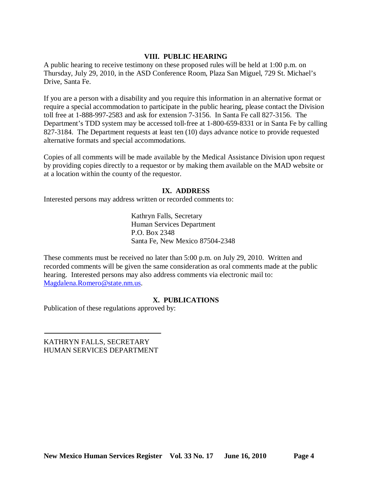### **VIII. PUBLIC HEARING**

A public hearing to receive testimony on these proposed rules will be held at 1:00 p.m. on Thursday, July 29, 2010, in the ASD Conference Room, Plaza San Miguel, 729 St. Michael's Drive, Santa Fe.

If you are a person with a disability and you require this information in an alternative format or require a special accommodation to participate in the public hearing, please contact the Division toll free at 1-888-997-2583 and ask for extension 7-3156. In Santa Fe call 827-3156. The Department's TDD system may be accessed toll-free at 1-800-659-8331 or in Santa Fe by calling 827-3184. The Department requests at least ten (10) days advance notice to provide requested alternative formats and special accommodations.

Copies of all comments will be made available by the Medical Assistance Division upon request by providing copies directly to a requestor or by making them available on the MAD website or at a location within the county of the requestor.

### **IX. ADDRESS**

Interested persons may address written or recorded comments to:

Kathryn Falls, Secretary Human Services Department P.O. Box 2348 Santa Fe, New Mexico 87504-2348

These comments must be received no later than 5:00 p.m. on July 29, 2010. Written and recorded comments will be given the same consideration as oral comments made at the public hearing. Interested persons may also address comments via electronic mail to: [Magdalena.Romero@state.nm.us.](mailto:Magdalena.Romero@state.nm.us)

### **X. PUBLICATIONS**

Publication of these regulations approved by:

KATHRYN FALLS, SECRETARY HUMAN SERVICES DEPARTMENT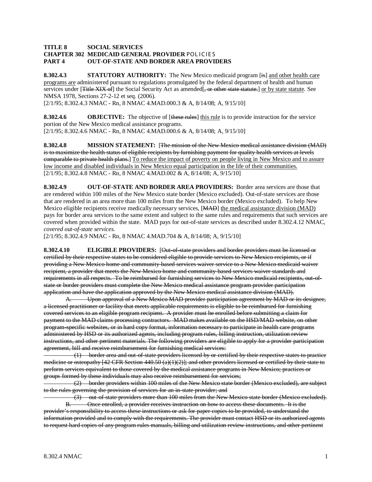#### **TITLE 8 SOCIAL SERVICES CHAPTER 302 MEDICAID GENERAL PROVIDER** POL ICIES **PART 4 OUT-OF-STATE AND BORDER AREA PROVIDERS**

**8.302.4.3 STATUTORY AUTHORITY:** The New Mexico medicaid program [is] and other health care programs are administered pursuant to regulations promulgated by the federal department of health and human services under [<del>Title XIX of</del>] the Social Security Act as amended[<del>, or other state statute.</del>] <u>or by state statute</u>. See NMSA 1978, Sections 27-2-12 et seq. (2006).

[2/1/95; 8.302.4.3 NMAC - Rn, 8 NMAC 4.MAD.000.3 & A, 8/14/08; A, 9/15/10]

**8.302.4.6 OBJECTIVE:** The objective of [these rules] this rule is to provide instruction for the service [2/1/95; 8.302.4.6 NMAC - Rn, 8 NMAC 4.MAD.000.6 & A, 8/14/08; A, 9/15/10] portion of the New Mexico medical assistance programs.

**8.302.4.8 MISSION STATEMENT:** [The mission of the New Mexico medical assistance division (MAD) is to maximize the health status of eligible recipients by furnishing payment for quality health services at levels comparable to private health plans.] To reduce the impact of poverty on people living in New Mexico and to assure [2/1/95; 8.302.4.8 NMAC - Rn, 8 NMAC 4.MAD.002 & A, 8/14/08; A, 9/15/10] low income and disabled individuals in New Mexico equal participation in the life of their communities.

**8.302.4.9 OUT-OF-STATE AND BORDER AREA PROVIDERS:** Border area services are those that are rendered within 100 miles of the New Mexico state border (Mexico excluded). Out-of-state services are those that are rendered in an area more than 100 miles from the New Mexico border (Mexico excluded). To help New Mexico eligible recipients receive medically necessary services, [MAD] the medical assistance division (MAD) pays for border area services to the same extent and subject to the same rules and requirements that such services are covered when provided within the state. MAD pays for out-of-state services as described under 8.302.4.12 NMAC, *covered out-of-state services.*

[2/1/95; 8.302.4.9 NMAC - Rn, 8 NMAC 4.MAD.704 & A, 8/14/08; A, 9/15/10]

**8.302.4.10 ELIGIBLE PROVIDERS:** [Out-of-state providers and border providers must be licensed or certified by their respective states to be considered eligible to provide services to New Mexico recipients, or if providing a New Mexico home and community-based services waiver service to a New Mexico medicaid waiver recipient, a provider that meets the New Mexico home and community-based services waiver standards and requirements in all respects. To be reimbursed for furnishing services to New Mexico medicaid recipients, out-ofstate or border providers must complete the New Mexico medical assistance program provider participation application and have the application approved by the New Mexico medical assistance division (MAD).

A. Upon approval of a New Mexico MAD provider participation agreement by MAD or its designee, a licensed practitioner or facility that meets applicable requirements is eligible to be reimbursed for furnishing covered services to an eligible program recipient. A provider must be enrolled before submitting a claim for payment to the MAD claims processing contractors. MAD makes available on the HSD/MAD website, on other program-specific websites, or in hard copy format, information necessary to participate in health care programs administered by HSD or its authorized agents, including program rules, billing instruction, utilization review instructions, and other pertinent materials. The following providers are eligible to apply for a provider participation agreement, bill and receive reimbursement for furnishing medical services:

 (1) border area and out-of-state providers licensed by or certified by their respective states to practice medicine or osteopathy  $[42 \text{ CFR}$  Section  $440.50 \text{ (a)}(1)(2)]$ ; and other providers licensed or certified by their state to perform services equivalent to those covered by the medical assistance programs in New Mexico; practices or groups formed by these individuals may also receive reimbursement for services;

 (2) border providers within 100 miles of the New Mexico state border (Mexico excluded), are subject to the rules governing the provision of services for an in-state provider; and

 (3) out-of-state providers more than 100 miles from the New Mexico state border (Mexico excluded). B. Once enrolled, a provider receives instruction on how to access these documents. It is the provider's responsibility to access these instructions or ask for paper copies to be provided, to understand the information provided and to comply with the requirements. The provider must contact HSD or its authorized agents to request hard copies of any program rules manuals, billing and utilization review instructions, and other pertinent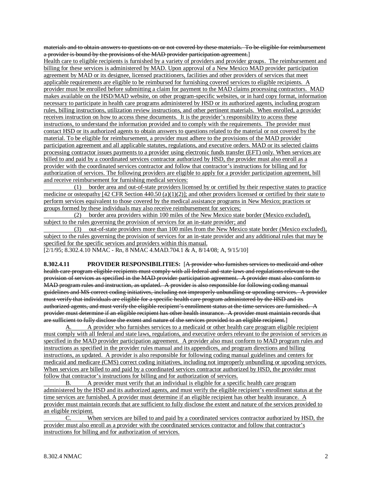materials and to obtain answers to questions on or not covered by these materials. To be eligible for reimbursement a provider is bound by the provisions of the MAD provider participation agreement.]

Health care to eligible recipients is furnished by a variety of providers and provider groups. The reimbursement and billing for these services is administered by MAD. Upon approval of a New Mexico MAD provider participation agreement by MAD or its designee, licensed practitioners, facilities and other providers of services that meet applicable requirements are eligible to be reimbursed for furnishing covered services to eligible recipients. A provider must be enrolled before submitting a claim for payment to the MAD claims processing contractors. MAD makes available on the HSD/MAD website, on other program-specific websites, or in hard copy format, information necessary to participate in health care programs administered by HSD or its authorized agents, including program rules, billing instructions, utilization review instructions, and other pertinent materials. When enrolled, a provider receives instruction on how to access these documents. It is the provider's responsibility to access these instructions, to understand the information provided and to comply with the requirements. The provider must contact HSD or its authorized agents to obtain answers to questions related to the material or not covered by the material. To be eligible for reimbursement, a provider must adhere to the provisions of the MAD provider participation agreement and all applicable statutes, regulations, and executive orders. MAD or its selected claims processing contractor issues payments to a provider using electronic funds transfer (EFT) only. When services are billed to and paid by a coordinated services contractor authorized by HSD, the provider must also enroll as a provider with the coordinated services contractor and follow that contractor's instructions for billing and for authorization of services. The following providers are eligible to apply for a provider participation agreement, bill and receive reimbursement for furnishing medical services:

 (1) border area and out-of-state providers licensed by or certified by their respective states to practice medicine or osteopathy  $[42 \text{ CFR}$  Section  $440.50 \text{ (a)}(1)(2)]$ ; and other providers licensed or certified by their state to perform services equivalent to those covered by the medical assistance programs in New Mexico; practices or groups formed by these individuals may also receive reimbursement for services;

 (2) border area providers within 100 miles of the New Mexico state border (Mexico excluded), subject to the rules governing the provision of services for an in-state provider; and

 (3) out-of-state providers more than 100 miles from the New Mexico state border (Mexico excluded), subject to the rules governing the provision of services for an in-state provider and any additional rules that may be specified for the specific services and providers within this manual.

[2/1/95; 8.302.4.10 NMAC - Rn, 8 NMAC 4.MAD.704.1 & A, 8/14/08; A, 9/15/10]

**8.302.4.11 PROVIDER RESPONSIBILITIES:** [A provider who furnishes services to medicaid and other health care program eligible recipients must comply with all federal and state laws and regulations relevant to the provision of services as specified in the MAD provider participation agreement. A provider must also conform to MAD program rules and instruction, as updated. A provider is also responsible for following coding manual guidelines and MS correct coding initiatives, including not improperly unbundling or upcoding services. A provider must verify that individuals are eligible for a specific health care program administered by the HSD and its authorized agents, and must verify the eligible recipient's enrollment status at the time services are furnished. A provider must determine if an eligible recipient has other health insurance. A provider must maintain records that are sufficient to fully disclose the extent and nature of the services provided to an eligible recipient.]

A. A provider who furnishes services to a medicaid or other health care program eligible recipient must comply with all federal and state laws, regulations, and executive orders relevant to the provision of services as specified in the MAD provider participation agreement. A provider also must conform to MAD program rules and instructions as specified in the provider rules manual and its appendices, and program directions and billing instructions, as updated. A provider is also responsible for following coding manual guidelines and centers for medicaid and medicare (CMS) correct coding initiatives, including not improperly unbundling or upcoding services. When services are billed to and paid by a coordinated services contractor authorized by HSD, the provider must follow that contractor's instructions for billing and for authorization of services.

B. A provider must verify that an individual is eligible for a specific health care program administered by the HSD and its authorized agents, and must verify the eligible recipient's enrollment status at the time services are furnished. A provider must determine if an eligible recipient has other health insurance. A provider must maintain records that are sufficient to fully disclose the extent and nature of the services provided to an eligible recipient.<br>
C. Wh

When services are billed to and paid by a coordinated services contractor authorized by HSD, the provider must also enroll as a provider with the coordinated services contractor and follow that contractor's instructions for billing and for authorization of services.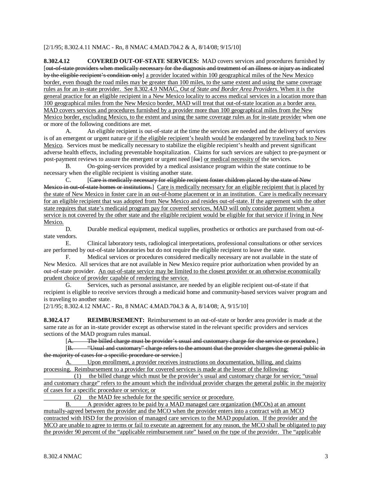#### [2/1/95; 8.302.4.11 NMAC - Rn, 8 NMAC 4.MAD.704.2 & A, 8/14/08; 9/15/10]

**8.302.4.12 COVERED OUT-OF-STATE SERVICES:** MAD covers services and procedures furnished by [out-of-state providers when medically necessary for the diagnosis and treatment of an illness or injury as indicated by the eligible recipient's condition only] a provider located within 100 geographical miles of the New Mexico border, even though the road miles may be greater than 100 miles, to the same extent and using the same coverage rules as for an in-state provider. See 8.302.4.9 NMAC, *Out of State and Border Area Providers*. When it is the general practice for an eligible recipient in a New Mexico locality to access medical services in a location more than 100 geographical miles from the New Mexico border, MAD will treat that out-of-state location as a border area. MAD covers services and procedures furnished by a provider more than 100 geographical miles from the New Mexico border, excluding Mexico, to the extent and using the same coverage rules as for in-state provider when one or more of the following conditions are met.

A. An eligible recipient is out-of-state at the time the services are needed and the delivery of services is of an emergent or urgent nature or if the eligible recipient's health would be endangered by traveling back to New Mexico. Services must be medically necessary to stabilize the eligible recipient's health and prevent significant adverse health effects, including preventable hospitalization. Claims for such services are subject to pre-payment or post-payment reviews to assure the emergent or urgent need [for] or medical necessity of the services.

B. On-going-services provided by a medical assistance program within the state continue to be necessary when the eligible recipient is visiting another state.

 $C$ . Care is medically necessary for eligible recipient foster children placed by the state of New Mexico in out-of-state homes or institutions.] Care is medically necessary for an eligible recipient that is placed by the state of New Mexico in foster care in an out-of-home placement or in an institution. Care is medically necessary for an eligible recipient that was adopted from New Mexico and resides out-of-state. If the agreement with the other state requires that state's medicaid program pay for covered services, MAD will only consider payment when a service is not covered by the other state and the eligible recipient would be eligible for that service if living in New Mexico.

D. Durable medical equipment, medical supplies, prosthetics or orthotics are purchased from out-ofstate vendors.

E. Clinical laboratory tests, radiological interpretations, professional consultations or other services are performed by out-of-state laboratories but do not require the eligible recipient to leave the state.

F. Medical services or procedures considered medically necessary are not available in the state of New Mexico. All services that are not available in New Mexico require prior authorization when provided by an out-of-state provider. An out-of-state service may be limited to the closest provider or an otherwise economically prudent choice of provider capable of rendering the service.

G. Services, such as personal assistance, are needed by an eligible recipient out-of-state if that recipient is eligible to receive services through a medicaid home and community-based services waiver program and is traveling to another state.

[2/1/95; 8.302.4.12 NMAC - Rn, 8 NMAC 4.MAD.704.3 & A, 8/14/08; A, 9/15/10]

**8.302.4.17 REIMBURSEMENT:** Reimbursement to an out-of-state or border area provider is made at the same rate as for an in-state provider except as otherwise stated in the relevant specific providers and services sections of the MAD program rules manual.

[A. The billed charge must be provider's usual and customary charge for the service or procedure. ]

[B. "Usual and customary" charge refers to the amount that the provider charges the general public in the majority of cases for a specific procedure or service.]

A. Upon enrollment, a provider receives instructions on documentation, billing, and claims processing. Reimbursement to a provider for covered services is made at the lesser of the following:

 (1) the billed change which must be the provider's usual and customary charge for service; "usual and customary charge" refers to the amount which the individual provider charges the general public in the majority of cases for a specific procedure or service; or

(2) the MAD fee schedule for the specific service or procedure.

B. A provider agrees to be paid by a MAD managed care organization (MCOs) at an amount mutually-agreed between the provider and the MCO when the provider enters into a contract with an MCO contracted with HSD for the provision of managed care services to the MAD population. If the provider and the MCO are unable to agree to terms or fail to execute an agreement for any reason, the MCO shall be obligated to pay the provider 90 percent of the "applicable reimbursement rate" based on the type of the provider. The "applicable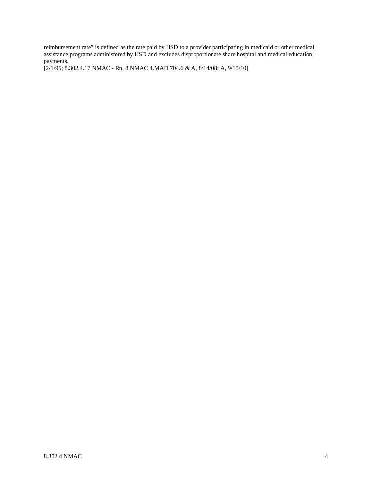reimbursement rate" is defined as the rate paid by HSD to a provider participating in medicaid or other medical assistance programs administered by HSD and excludes disproportionate share hospital and medical education payments.

[2/1/95; 8.302.4.17 NMAC - Rn, 8 NMAC 4.MAD.704.6 & A, 8/14/08; A, 9/15/10]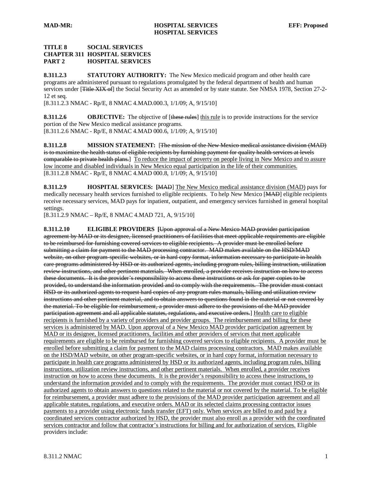#### **TITLE 8 SOCIAL SERVICES CHAPTER 311 HOSPITAL SERVICES PART 2 HOSPITAL SERVICES**

**8.311.2.3 STATUTORY AUTHORITY:** The New Mexico medicaid program and other health care programs are administered pursuant to regulations promulgated by the federal department of health and human services under [<del>Title XIX of</del>] the Social Security Act as amended or by state statute. See NMSA 1978, Section 27-2-12 et seq.

[8.311.2.3 NMAC - Rp/E, 8 NMAC 4.MAD.000.3, 1/1/09; A, 9/15/10]

**8.311.2.6 OBJECTIVE:** The objective of [these rules] this rule is to provide instructions for the service [8.311.2.6 NMAC - Rp/E, 8 NMAC 4.MAD 000.6, 1/1/09; A, 9/15/10] portion of the New Mexico medical assistance programs.

**8.311.2.8 MISSION STATEMENT:** [The mission of the New Mexico medical assistance division (MAD) is to maximize the health status of eligible recipients by furnishing payment for quality health services at levels comparable to private health plans.] To reduce the impact of poverty on people living in New Mexico and to assure [8.311.2.8 NMAC - Rp/E, 8 NMAC 4.MAD 000.8, 1/1/09; A, 9/15/10] low income and disabled individuals in New Mexico equal participation in the life of their communities.

**8.311.2.9 HOSPITAL SERVICES: [**MAD] The New Mexico medical assistance division (MAD) pays for medically necessary health services furnished to eligible recipients. To help New Mexico [MAD] eligible recipients receive necessary services, MAD pays for inpatient, outpatient, and emergency services furnished in general hospital settings.

[8.311.2.9 NMAC – Rp/E, 8 NMAC 4.MAD 721, A, 9/15/10]

**8.311.2.10 ELIGIBLE PROVIDERS [**Upon approval of a New Mexico MAD provider participation agreement by MAD or its designee, licensed practitioners of facilities that meet applicable requirements are eligible to be reimbursed for furnishing covered services to eligible recipients. A provider must be enrolled before submitting a claim for payment to the MAD processing contractor. MAD makes available on the HSD/MAD website, on other program-specific websites, or in hard copy format, information necessary to participate in health care programs administered by HSD or its authorized agents, including program rules, billing instruction, utilization review instructions, and other pertinent materials. When enrolled, a provider receives instruction on how to access these documents. It is the provider's responsibility to access these instructions or ask for paper copies to be provided, to understand the information provided and to comply with the requirements. The provider must contact HSD or its authorized agents to request hard copies of any program rules manuals, billing and utilization review instructions and other pertinent material, and to obtain answers to questions found in the material or not covered by the material. To be eligible for reimbursement, a provider must adhere to the provisions of the MAD provider participation agreement and all applicable statutes, regulations, and executive orders.] Health care to eligible recipients is furnished by a variety of providers and provider groups. The reimbursement and billing for these services is administered by MAD. Upon approval of a New Mexico MAD provider participation agreement by MAD or its designee, licensed practitioners, facilities and other providers of services that meet applicable requirements are eligible to be reimbursed for furnishing covered services to eligible recipients. A provider must be enrolled before submitting a claim for payment to the MAD claims processing contractors. MAD makes available on the HSD/MAD website, on other program-specific websites, or in hard copy format, information necessary to participate in health care programs administered by HSD or its authorized agents, including program rules, billing instructions, utilization review instructions, and other pertinent materials. When enrolled, a provider receives instruction on how to access these documents. It is the provider's responsibility to access these instructions, to understand the information provided and to comply with the requirements. The provider must contact HSD or its authorized agents to obtain answers to questions related to the material or not covered by the material. To be eligible for reimbursement, a provider must adhere to the provisions of the MAD provider participation agreement and all applicable statutes, regulations, and executive orders. MAD or its selected claims processing contractor issues payments to a provider using electronic funds transfer (EFT) only. When services are billed to and paid by a coordinated services contractor authorized by HSD, the provider must also enroll as a provider with the coordinated services contractor and follow that contractor's instructions for billing and for authorization of services. Eligible providers include: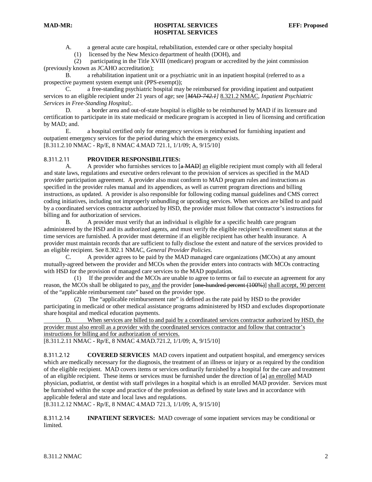A. a general acute care hospital, rehabilitation, extended care or other specialty hospital

(1) licensed by the New Mexico department of health (DOH), and

 (2) participating in the Title XVIII (medicare) program or accredited by the joint commission (previously known as JCAHO accreditation);

B. a rehabilitation inpatient unit or a psychiatric unit in an inpatient hospital (referred to as a prospective payment system exempt unit (PPS-exempt));

C. a free-standing psychiatric hospital may be reimbursed for providing inpatient and outpatient services to an eligible recipient under 21 years of age; see [*MAD-742.1]* 8.321.2 NMAC *, Inpatient Psychiatric Services in Free-Standing Hospital;.*

D. a border area and out-of-state hospital is eligible to be reimbursed by MAD if its licensure and certification to participate in its state medicaid or medicare program is accepted in lieu of licensing and certification by MAD; and.

E. a hospital certified only for emergency services is reimbursed for furnishing inpatient and outpatient emergency services for the period during which the emergency exists. [8.311.2.10 NMAC - Rp/E, 8 NMAC 4.MAD 721.1, 1/1/09; A, 9/15/10]

#### 8.311.2.11 **PROVIDER RESPONSIBILITIES:**

A. A provider who furnishes services to [a MAD] an eligible recipient must comply with all federal and state laws, regulations and executive orders relevant to the provision of services as specified in the MAD provider participation agreement. A provider also must conform to MAD program rules and instructions as specified in the provider rules manual and its appendices, as well as current program directions and billing instructions, as updated. A provider is also responsible for following coding manual guidelines and CMS correct coding initiatives, including not improperly unbundling or upcoding services. When services are billed to and paid by a coordinated services contractor authorized by HSD, the provider must follow that contractor's instructions for billing and for authorization of services.

B. A provider must verify that an individual is eligible for a specific health care program administered by the HSD and its authorized agents, and must verify the eligible recipient's enrollment status at the time services are furnished. A provider must determine if an eligible recipient has other health insurance. A provider must maintain records that are sufficient to fully disclose the extent and nature of the services provided to an eligible recipient. See 8.302.1 NMAC, *General Provider Policies*.

C. A provider agrees to be paid by the MAD managed care organizations (MCOs) at any amount mutually-agreed between the provider and MCOs when the provider enters into contracts with MCOs contracting with HSD for the provision of managed care services to the MAD population.

 (1) If the provider and the MCOs are unable to agree to terms or fail to execute an agreement for any reason, the MCOs shall be obligated to pay, and the provider [one-hundred percent (100%)] shall accept, 90 percent of the "applicable reimbursement rate" based on the provider type.

 (2) The "applicable reimbursement rate" is defined as the rate paid by HSD to the provider participating in medicaid or other medical assistance programs administered by HSD and excludes disproportionate share hospital and medical education payments.

D. When services are billed to and paid by a coordinated services contractor authorized by HSD, the provider must also enroll as a provider with the coordinated services contractor and follow that contractor's instructions for billing and for authorization of services.

[8.311.2.11 NMAC - Rp/E, 8 NMAC 4.MAD.721.2, 1/1/09; A, 9/15/10]

8.311.2.12 **COVERED SERVICES** MAD covers inpatient and outpatient hospital, and emergency services which are medically necessary for the diagnosis, the treatment of an illness or injury or as required by the condition of the eligible recipient. MAD covers items or services ordinarily furnished by a hospital for the care and treatment of an eligible recipient. These items or services must be furnished under the direction of [a] an enrolled MAD physician, podiatrist, or dentist with staff privileges in a hospital which is an enrolled MAD provider. Services must be furnished within the scope and practice of the profession as defined by state laws and in accordance with applicable federal and state and local laws and regulations.

[8.311.2.12 NMAC - Rp/E, 8 NMAC 4.MAD 721.3, 1/1/09; A, 9/15/10]

8.311.2.14 **INPATIENT SERVICES:** MAD coverage of some inpatient services may be conditional or limited.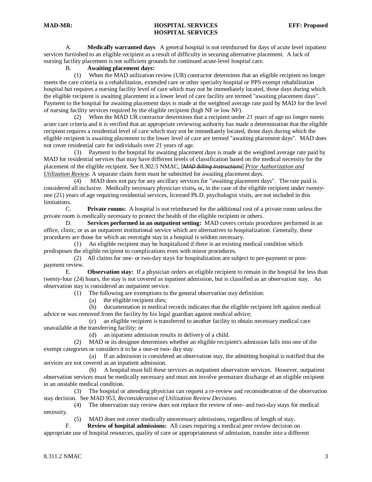A. **Medically warranted days** A general hospital is not reimbursed for days of acute level inpatient services furnished to an eligible recipient as a result of difficulty in securing alternative placement. A lack of nursing facility placement is not sufficient grounds for continued acute-level hospital care.

#### B. **Awaiting placement days:**

 (1) When the MAD utilization review (UR) contractor determines that an eligible recipient no longer meets the care criteria in a rehabilitation, extended care or other specialty hospital or PPS exempt rehabilitation hospital but requires a nursing facility level of care which may not be immediately located, those days during which the eligible recipient is awaiting placement in a lower level of care facility are termed "awaiting placement days". Payment to the hospital for awaiting placement days is made at the weighted average rate paid by MAD for the level of nursing facility services required by the eligible recipient (high NF or low NF).

 (2) When the MAD UR contractor determines that a recipient under 21 years of age no longer meets acute care criteria and it is verified that an appropriate reviewing authority has made a determination that the eligible recipient requires a residential level of care which may not be immediately located, those days during which the eligible recipient is awaiting placement to the lower level of care are termed "awaiting placement days". MAD does not cover residential care for individuals over 21 years of age.

 (3) Payment to the hospital for awaiting placement days is made at the weighted average rate paid by MAD for residential services that may have different levels of classification based on the medical necessity for the placement of the eligible recipient. See 8.302.5 NMAC, [*MAD Billing Instructions*] *Prior Authorization and Utilization Review .* A separate claim form must be submitted for awaiting placement days.

 (4) MAD does not pay for any ancillary services for "awaiting placement days". The rate paid is considered all inclusive. Medically necessary physician visits, or, in the case of the eligible recipient under twentyone (21) years of age requiring residential services, licensed Ph.D. psychologist visits, are not included in this limitations.

C. **Private rooms:** A hospital is not reimbursed for the additional cost of a private room unless the private room is medically necessary to protect the health of the eligible recipient or others.

D. **Services performed in an outpatient setting:** MAD covers certain procedures performed in an office, clinic, or as an outpatient institutional service which are alternatives to hospitalization. Generally, these procedures are those for which an overnight stay in a hospital is seldom necessary.

 (1) An eligible recipient may be hospitalized if there is an existing medical condition which predisposes the eligible recipient to complications even with minor procedures.

 (2) All claims for one- or two-day stays for hospitalization are subject to pre-payment or postpayment review.

E. **Observation stay:** If a physician orders an eligible recipient to remain in the hospital for less than twenty-four (24) hours, the stay is not covered as inpatient admission, but is classified as an observation stay. An observation stay is considered an outpatient service.

(1) The following are exemptions to the general observation stay definition:

(a) the eligible recipient dies;

 (b) documentation in medical records indicates that the eligible recipient left against medical advice or was removed from the facility by his legal guardian against medical advice;

 (c) an eligible recipient is transferred to another facility to obtain necessary medical care unavailable at the transferring facility; or

(d) an inpatient admission results in delivery of a child.

 (2) MAD or its designee determines whether an eligible recipient's admission falls into one of the exempt categories or considers it to be a one-or two- day stay.

 (a) If an admission is considered an observation stay, the admitting hospital is notified that the services are not covered as an inpatient admission.

 (b) A hospital must bill these services as outpatient observation services. However, outpatient observation services must be medically necessary and must not involve premature discharge of an eligible recipient in an unstable medical condition.

 (3) The hospital or attending physician can request a re-review and reconsideration of the observation stay decision. See MAD 953*, Reconsideration of Utilization Review Decisions.*

 (4) The observation stay review does not replace the review of one- and two-day stays for medical necessity.

(5) MAD does not cover medically unnecessary admissions, regardless of length of stay.

F. **Review of hospital admissions:** All cases requiring a medical peer review decision on appropriate use of hospital resources, quality of care or appropriateness of admission, transfer into a different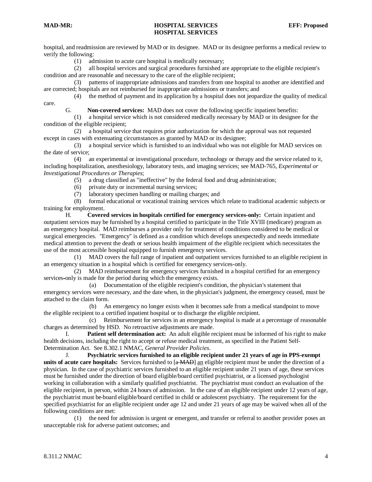hospital, and readmission are reviewed by MAD or its designee. MAD or its designee performs a medical review to verify the following:

(1) admission to acute care hospital is medically necessary;

 (2) all hospital services and surgical procedures furnished are appropriate to the eligible recipient's condition and are reasonable and necessary to the care of the eligible recipient;

 (3) patterns of inappropriate admissions and transfers from one hospital to another are identified and are corrected; hospitals are not reimbursed for inappropriate admissions or transfers; and

 (4) the method of payment and its application by a hospital does not jeopardize the quality of medical care.

G. **Non-covered services:** MAD does not cover the following specific inpatient benefits:

 (1) a hospital service which is not considered medically necessary by MAD or its designee for the condition of the eligible recipient;

 (2) a hospital service that requires prior authorization for which the approval was not requested except in cases with extenuating circumstances as granted by MAD or its designee;

 (3) a hospital service which is furnished to an individual who was not eligible for MAD services on the date of service;

 (4) an experimental or investigational procedure, technology or therapy and the service related to it, including hospitalization, anesthesiology, laboratory tests, and imaging services; see MAD-765*, Experimental or Investigational Procedures or Therapies*;

(5) a drug classified as "ineffective" by the federal food and drug administration;

(6) private duty or incremental nursing services;

(7) laboratory specimen handling or mailing charges; and

 (8) formal educational or vocational training services which relate to traditional academic subjects or training for employment.

H. **Covered services in hospitals certified for emergency services-only:** Certain inpatient and outpatient services may be furnished by a hospital certified to participate in the Title XVIII (medicare) program as an emergency hospital. MAD reimburses a provider only for treatment of conditions considered to be medical or surgical emergencies. "Emergency" is defined as a condition which develops unexpectedly and needs immediate medical attention to prevent the death or serious health impairment of the eligible recipient which necessitates the use of the most accessible hospital equipped to furnish emergency services.

 (1) MAD covers the full range of inpatient and outpatient services furnished to an eligible recipient in an emergency situation in a hospital which is certified for emergency services-only.

 (2) MAD reimbursement for emergency services furnished in a hospital certified for an emergency services**-** only is made for the period during which the emergency exists.

 (a) Documentation of the eligible recipient's condition, the physician's statement that emergency services were necessary, and the date when, in the physician's judgment, the emergency ceased, must be attached to the claim form.

 (b) An emergency no longer exists when it becomes safe from a medical standpoint to move the eligible recipient to a certified inpatient hospital or to discharge the eligible recipient.

 (c) Reimbursement for services in an emergency hospital is made at a percentage of reasonable charges as determined by HSD. No retroactive adjustments are made.

**Patient self determination act:** An adult eligible recipient must be informed of his right to make health decisions, including the right to accept or refuse medical treatment, as specified in the Patient Self-Determination Act. See 8.302.1 NMAC*, General Provider Policies*.

J. **Psychiatric services furnished to an eligible recipient under 21 years of age in PPS-exempt units of acute care hospitals:** Services furnished to  $\left[\frac{a \text{ MAD}}{a}\right]$  an eligible recipient must be under the direction of a physician. In the case of psychiatric services furnished to an eligible recipient under 21 years of age, these services must be furnished under the direction of board eligible/board certified psychiatrist, or a licensed psychologist working in collaboration with a similarly qualified psychiatrist. The psychiatrist must conduct an evaluation of the eligible recipient, in person, within 24 hours of admission. In the case of an eligible recipient under 12 years of age, the psychiatrist must be board eligible/board certified in child or adolescent psychiatry. The requirement for the specified psychiatrist for an eligible recipient under age 12 and under 21 years of age may be waived when all of the following conditions are met:

 (1) the need for admission is urgent or emergent, and transfer or referral to another provider poses an unacceptable risk for adverse patient outcomes; and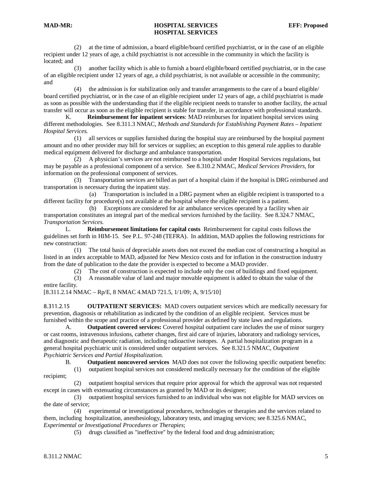(2) at the time of admission, a board eligible/board certified psychiatrist, or in the case of an eligible recipient under 12 years of age, a child psychiatrist is not accessible in the community in which the facility is located; and

 (3) another facility which is able to furnish a board eligible/board certified psychiatrist, or in the case of an eligible recipient under 12 years of age, a child psychiatrist, is not available or accessible in the community; and

 (4) the admission is for stabilization only and transfer arrangements to the care of a board eligible/ board certified psychiatrist, or in the case of an eligible recipient under 12 years of age, a child psychiatrist is made as soon as possible with the understanding that if the eligible recipient needs to transfer to another facility, the actual transfer will occur as soon as the eligible recipient is stable for transfer, in accordance with professional standards.

K. **Reimbursement for inpatient services**: MAD reimburses for inpatient hospital services using different methodologies. See 8.311.3 NMAC, *Methods and Standards for Establishing Payment Rates – Inpatient Hospital Services.*

 (1) all services or supplies furnished during the hospital stay are reimbursed by the hospital payment amount and no other provider may bill for services or supplies; an exception to this general rule applies to durable medical equipment delivered for discharge and ambulance transportation.

 (2) A physician's services are not reimbursed to a hospital under Hospital Services regulations, but may be payable as a professional component of a service. See 8.310.2 NMAC, *Medical Services Providers*, for information on the professional component of services.

 (3) Transportation services are billed as part of a hospital claim if the hospital is DRG reimbursed and transportation is necessary during the inpatient stay.

 (a) Transportation is included in a DRG payment when an eligible recipient is transported to a different facility for procedure(s) not available at the hospital where the eligible recipient is a patient.

 (b) Exceptions are considered for air ambulance services operated by a facility when air transportation constitutes an integral part of the medical services furnished by the facility. See 8.324.7 NMAC, *Transportation Services.*

L. **Reimbursement limitations for capital costs** Reimbursement for capital costs follows the guidelines set forth in HIM-15. See P.L. 97-248 (TEFRA). In addition, MAD applies the following restrictions for new construction:

 (1) The total basis of depreciable assets does not exceed the median cost of constructing a hospital as listed in an index acceptable to MAD, adjusted for New Mexico costs and for inflation in the construction industry from the date of publication to the date the provider is expected to become a MAD provider.

(2) The cost of construction is expected to include only the cost of buildings and fixed equipment.

 (3) A reasonable value of land and major movable equipment is added to obtain the value of the entire facility.

[8.311.2.14 NMAC – Rp/E, 8 NMAC 4.MAD 721.5, 1/1/09; A, 9/15/10]

8.311.2.15 **OUTPATIENT SERVICES:** MAD covers outpatient services which are medically necessary for prevention, diagnosis or rehabilitation as indicated by the condition of an eligible recipient. Services must be furnished within the scope and practice of a professional provider as defined by state laws and regulations.

A. **Outpatient covered services:** Covered hospital outpatient care includes the use of minor surgery or cast rooms, intravenous infusions, catheter changes, first aid care of injuries, laboratory and radiology services, and diagnostic and therapeutic radiation, including radioactive isotopes. A partial hospitalization program in a general hospital psychiatric unit is considered under outpatient services. See 8.321.5 NMAC, *Outpatient Psychiatric Services and Partial Hospitalization*.

B. **Outpatient noncovered services** MAD does not cover the following specific outpatient benefits:

 (1) outpatient hospital services not considered medically necessary for the condition of the eligible recipient;

 (2) outpatient hospital services that require prior approval for which the approval was not requested except in cases with extenuating circumstances as granted by MAD or its designee;

 (3) outpatient hospital services furnished to an individual who was not eligible for MAD services on the date of service;

 (4) experimental or investigational procedures, technologies or therapies and the services related to them, including hospitalization, anesthesiology, laboratory tests, and imaging services; see 8.325.6 NMAC, *Experimental or Investigational Procedures or Therapies*;

(5) drugs classified as "ineffective" by the federal food and drug administration;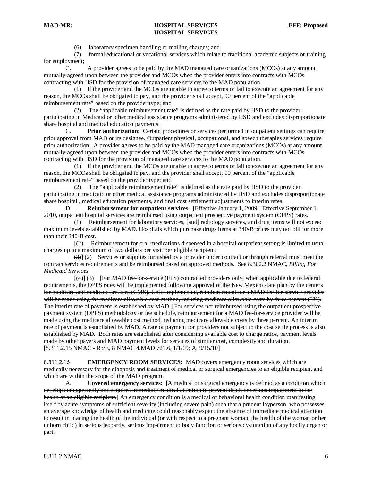(6) laboratory specimen handling or mailing charges; and

 (7) formal educational or vocational services which relate to traditional academic subjects or training for employment;

C. A provider agrees to be paid by the MAD managed care organizations (MCOs) at any amount mutually-agreed upon between the provider and MCOs when the provider enters into contracts with MCOs contracting with HSD for the provision of managed care services to the MAD population.

 (1) If the provider and the MCOs are unable to agree to terms or fail to execute an agreement for any reason, the MCOs shall be obligated to pay, and the provider shall accept, 90 percent of the "applicable reimbursement rate" based on the provider type; and

 (2) The "applicable reimbursement rate" is defined as the rate paid by HSD to the provider participating in Medicaid or other medical assistance programs administered by HSD and excludes disproportionate share hospital and medical education payments.

C. **Prior authorization:** Certain procedures or services performed in outpatient settings can require prior approval from MAD or its designee. Outpatient physical, occupational, and speech therapies services require prior authorization. A provider agrees to be paid by the MAD managed care organizations (MCOs) at any amount mutually-agreed upon between the provider and MCOs when the provider enters into contracts with MCOs contracting with HSD for the provision of managed care services to the MAD population.

 (1) If the provider and the MCOs are unable to agree to terms or fail to execute an agreement for any reason, the MCOs shall be obligated to pay, and the provider shall accept, 90 percent of the "applicable reimbursement rate" based on the provider type; and

 (2) The "applicable reimbursement rate" is defined as the rate paid by HSD to the provider participating in medicaid or other medical assistance programs administered by HSD and excludes disproportionate share hospital , medical education payments, and final cost settlement adjustments to interim rates.

D. **Reimbursement for outpatient services** [ Effective January 1, 2009,] Effective September 1, 2010, outpatient hospital services are reimbursed using outpatient prospective payment system (OPPS) rates.

(1) Reimbursement for laboratory services, [and] radiology services, and drug items will not exceed maximum levels established by MAD. Hospitals which purchase drugs items at 340-B prices may not bill for more than their 340-B cost.

 $\begin{bmatrix} 1 & 1 \\ 1 & 1 \end{bmatrix}$ (2) Reimbursement for oral medications dispensed in a hospital outpatient setting is limited to usual charges up to a maximum of two dollars per visit per eligible recipient.

 $(3)$  (2) Services or supplies furnished by a provider under contract or through referral must meet the contract services requirements and be reimbursed based on approved methods. See 8.302.2 NMAC, *Billing For Medicaid Services.*

 $\begin{bmatrix} 1 & 1 \\ 1 & 1 \end{bmatrix}$ (4)] (3) [For MAD fee-for-service (FFS) contracted providers only, when applicable due to federal requirements, the OPPS rates will be implemented following approval of the New Mexico state plan by the centers for medicare and medicaid services (CMS). Until implemented, reimbursement for a MAD fee-for-service provider will be made using the medicare allowable cost method, reducing medicare allowable costs by three percent (3%). The interim rate of payment is established by MAD.] For services not reimbursed using the outpatient prospective [8.311.2.15 NMAC - Rp/E, 8 NMAC 4.MAD 721.6, 1/1/09; A, 9/15/10] payment system (OPPS) methodology or fee schedule, reimbursement for a MAD fee-for-service provider will be made using the medicare allowable cost method, reducing medicare allowable costs by three percent. An interim rate of payment is established by MAD. A rate of payment for providers not subject to the cost settle process is also established by MAD. Both rates are established after considering available cost to charge ratios, payment levels made by other payers and MAD payment levels for services of similar cost, complexity and duration.

8.311.2.16 **EMERGENCY ROOM SERVICES:** MAD covers emergency room services which are medically necessary for the *diagnosis and* treatment of medical or surgical emergencies to an eligible recipient and which are within the scope of the MAD program.

A. **Covered emergency services:** [ A medical or surgical emergency is defined as a condition which develops unexpectedly and requires immediate medical attention to prevent death or serious impairment to the health of an eligible recipient.] An emergency condition is a medical or behavioral health condition manifesting itself by acute symptoms of sufficient severity (including severe pain) such that a prudent layperson, who possesses an average knowledge of health and medicine could reasonably expect the absence of immediate medical attention to result in placing the health of the individual (or with respect to a pregnant woman, the health of the woman or her unborn child) in serious jeopardy, serious impairment to body function or serious dysfunction of any bodily organ or part.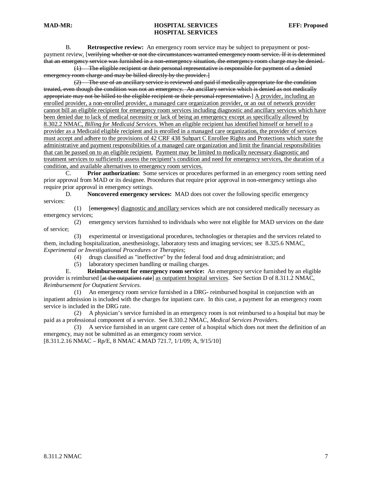B. **Retrospective review:** An emergency room service may be subject to prepayment or postpayment review. [verifying whether or not the circumstances warranted emergency room service. If it is determined that an emergency service was furnished in a non-emergency situation, the emergency room charge may be denied.

(1) The eligible recipient or their personal representative is responsible for payment of a denied emergency room charge and may be billed directly by the provider.]

(2) The use of an ancillary service is reviewed and paid if medically appropriate for the condition treated, even though the condition was not an emergency. An ancillary service which is denied as not medically appropriate may not be billed to the eligible recipient or their personal representative.] A provider, including an enrolled provider, a non-enrolled provider, a managed care organization provider, or an out of network provider cannot bill an eligible recipient for emergency room services including diagnostic and ancillary services which have been denied due to lack of medical necessity or lack of being an emergency except as specifically allowed by 8.302.2 NMAC, *Billing for Medicaid Services*. When an eligible recipient has identified himself or herself to a provider as a Medicaid eligible recipient and is enrolled in a managed care organization, the provider of services must accept and adhere to the provisions of 42 CRF 438 Subpart C Enrollee Rights and Protections which state the administrative and payment responsibilities of a managed care organization and limit the financial responsibilities that can be passed on to an eligible recipient. Payment may be limited to medically necessary diagnostic and treatment services to sufficiently assess the recipient's condition and need for emergency services, the duration of a condition, and available alternatives to emergency room services.

C. **Prior authorization:** Some services or procedures performed in an emergency room setting need prior approval from MAD or its designee. Procedures that require prior approval in non-emergency settings also require prior approval in emergency settings.

D. **Noncovered emergency services:** MAD does not cover the following specific emergency services:

(1) [emergency] diagnostic and ancillary services which are not considered medically necessary as emergency services;

 (2) emergency services furnished to individuals who were not eligible for MAD services on the date of service;

 (3) experimental or investigational procedures, technologies or therapies and the services related to them, including hospitalization, anesthesiology, laboratory tests and imaging services; see 8.325.6 NMAC, *Experimental or Investigational Procedures or Therapies*;

- (4) drugs classified as "ineffective" by the federal food and drug administration; and
- (5) laboratory specimen handling or mailing charges.<br>E. **Reimbursement for emergency room service:**  $\angle$

**Reimbursement for emergency room service:** An emergency service furnished by an eligible provider is reimbursed [at the outpatient rate] as outpatient hospital services. See Section D of 8.311.2 NMAC, *Reimbursement for Outpatient Services*.

 (1) An emergency room service furnished in a DRG- reimbursed hospital in conjunction with an inpatient admission is included with the charges for inpatient care. In this case, a payment for an emergency room service is included in the DRG rate.

 (2) A physician's service furnished in an emergency room is not reimbursed to a hospital but may be paid as a professional component of a service. See 8.310.2 NMAC, *Medical Services Providers*.

 (3) A service furnished in an urgent care center of a hospital which does not meet the definition of an emergency, may not be submitted as an emergency room service.

[8.311.2.16 NMAC – Rp/E, 8 NMAC 4.MAD 721.7, 1/1/09; A, 9/15/10]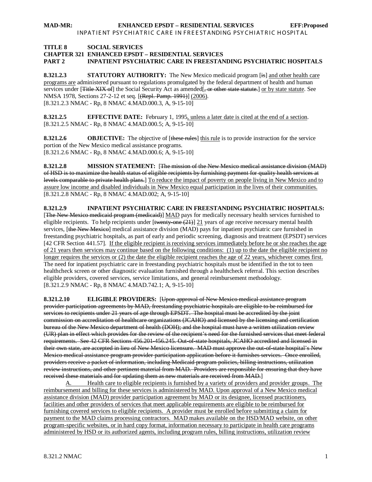#### **TITLE 8 SOCIAL SERVICES**

#### **CHAPTER 321 ENHANCED EPSDT – RESIDENTIAL SERVICES**

**PART 2 INPATIENT PSYCHIATRIC CARE IN FREESTANDING PSYCHIATRIC HOSPITALS**

**8.321.2.3 STATUTORY AUTHORITY:** The New Mexico medicaid program [is] and other health care programs are administered pursuant to regulations promulgated by the federal department of health and human services under [Title XIX of] the Social Security Act as amended <del>, or other state statute.</del>] or by state statute. See NMSA 1978, Sections 27-2-12 et seq. [<del>(Repl. Pamp. 1991)</del>] (2006). [8.321.2.3 NMAC - Rp, 8 NMAC 4.MAD.000.3, A, 9-15-10]

**8.321.2.5 EFFECTIVE DATE:** February 1, 1995, unless a later date is cited at the end of a section. [8.321.2.5 NMAC - Rp, 8 NMAC 4.MAD.000.5; A, 9-15-10]

**8.321.2.6 OBJECTIVE:** The objective of [these rules] this rule is to provide instruction for the service [8.321.2.6 NMAC - Rp, 8 NMAC 4.MAD.000.6; A, 9-15-10] portion of the New Mexico medical assistance programs.

**8.321.2.8 MISSION STATEMENT:** [The mission of the New Mexico medical assistance division (MAD) of HSD is to maximize the health status of eligible recipients by furnishing payment for quality health services at levels comparable to private health plans.] To reduce the impact of poverty on people living in New Mexico and to [8.321.2.8 NMAC - Rp, 8 NMAC 4.MAD.002; A, 9-15-10] assure low income and disabled individuals in New Mexico equal participation in the lives of their communities.

**8.321.2.9 INPATIENT PSYCHIATRIC CARE IN FREESTANDING PSYCHIATRIC HOSPITALS:** [The New Mexico medicaid program (medicaid)] MAD pays for medically necessary health services furnished to eligible recipients. To help recipients under  $[\frac{t_{\text{wenty-one}}(21)] 21}$  years of age receive necessary mental health services, [the New Mexico] medical assistance division (MAD) pays for inpatient psychiatric care furnished in freestanding psychiatric hospitals, as part of early and periodic screening, diagnosis and treatment (EPSDT) services [42 CFR Section 441.57]. If the eligible recipient is receiving services immediately before he or she reaches the age of 21 years then services may continue based on the following conditions: (1) up to the date the eligible recipient no longer requires the services or (2) the date the eligible recipient reaches the age of 22 years, whichever comes first. [8.321.2.9 NMAC - Rp, 8 NMAC 4.MAD.742.1; A, 9-15-10] The need for inpatient psychiatric care in freestanding psychiatric hospitals must be identified in the tot to teen healthcheck screen or other diagnostic evaluation furnished through a healthcheck referral. This section describes eligible providers, covered services, service limitations, and general reimbursement methodology.

**8.321.2.10 ELIGIBLE PROVIDERS:** [Upon approval of New Mexico medical assistance program provider participation agreements by MAD, freestanding psychiatric hospitals are eligible to be reimbursed for services to recipients under 21 years of age through EPSDT. The hospital must be accredited by the joint commission on accreditation of healthcare organizations (JCAHO) and licensed by the licensing and certification bureau of the New Mexico department of health (DOH); and the hospital must have a written utilization review (UR) plan in effect which provides for the review of the recipient's need for the furnished services that meet federal requirements. See 42 CFR Sections 456.201-456.245. Out-of-state hospitals, JCAHO accredited and licensed in their own state, are accepted in lieu of New Mexico licensure. MAD must approve the out-of-state hospital's New Mexico medical assistance program provider participation application before it furnishes services. Once enrolled, providers receive a packet of information, including Medicaid program policies, billing instructions, utilization review instructions, and other pertinent material from MAD. Providers are responsible for ensuring that they have received these materials and for updating them as new materials are received from MAD.]

A. Health care to eligible recipients is furnished by a variety of providers and provider groups. The reimbursement and billing for these services is administered by MAD. Upon approval of a New Mexico medical assistance division (MAD) provider participation agreement by MAD or its designee, licensed practitioners, facilities and other providers of services that meet applicable requirements are eligible to be reimbursed for furnishing covered services to eligible recipients. A provider must be enrolled before submitting a claim for payment to the MAD claims processing contractors. MAD makes available on the HSD/MAD website, on other program-specific websites, or in hard copy format, information necessary to participate in health care programs administered by HSD or its authorized agents, including program rules, billing instructions, utilization review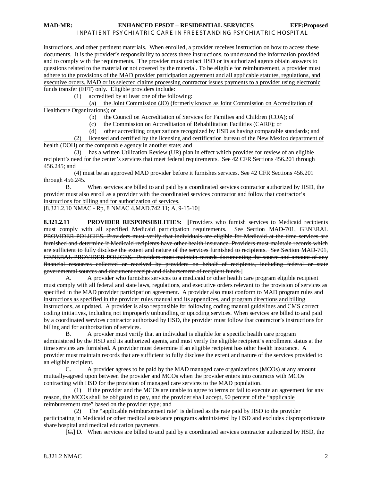instructions, and other pertinent materials. When enrolled, a provider receives instruction on how to access these documents. It is the provider's responsibility to access these instructions, to understand the information provided and to comply with the requirements. The provider must contact HSD or its authorized agents obtain answers to questions related to the material or not covered by the material. To be eligible for reimbursement, a provider must adhere to the provisions of the MAD provider participation agreement and all applicable statutes, regulations, and executive orders. MAD or its selected claims processing contractor issues payments to a provider using electronic funds transfer (EFT) only. Eligible providers include:

(1) accredited by at least one of the following:

 (a) the Joint Commission (JO) (formerly known as Joint Commission on Accreditation of Healthcare Organizations); or

(b) the Council on Accreditation of Services for Families and Children (COA); of

(c) the Commission on Accreditation of Rehabilitation Facilities (CARF); or

 (d) other accrediting organizations recognized by HSD as having comparable standards; and (2) licensed and certified by the licensing and certification bureau of the New Mexico department of

health (DOH) or the comparable agency in another state; and

 (3) has a written Utilization Review (UR) plan in effect which provides for review of an eligible recipient's need for the center's services that meet federal requirements. See 42 CFR Sections 456.201 through 456.245; and

 (4) must be an approved MAD provider before it furnishes services. See 42 CFR Sections 456.201  $rac{\text{through } 456.245.}{B.}$ 

When services are billed to and paid by a coordinated services contractor authorized by HSD, the provider must also enroll as a provider with the coordinated services contractor and follow that contractor's instructions for billing and for authorization of services.

[8.321.2.10 NMAC - Rp, 8 NMAC 4.MAD.742.11; A, 9-15-10]

**8.321.2.11 PROVIDER RESPONSIBILITIES: [**Providers who furnish services to Medicaid recipients must comply with all specified Medicaid participation requirements. See Section MAD-701, GENERAL PROVIDER POLICIES. Providers must verify that individuals are eligible for Medicaid at the time services are furnished and determine if Medicaid recipients have other health insurance. Providers must maintain records which are sufficient to fully disclose the extent and nature of the services furnished to recipients. See Section MAD-701, GENERAL PROVIDER POLICES. Providers must maintain records documenting the source and amount of any financial resources collected or received by providers on behalf of recipients, including federal or state governmental sources and document receipt and disbursement of recipient funds.]

A. A provider who furnishes services to a medicaid or other health care program eligible recipient must comply with all federal and state laws, regulations, and executive orders relevant to the provision of services as specified in the MAD provider participation agreement. A provider also must conform to MAD program rules and instructions as specified in the provider rules manual and its appendices, and program directions and billing instructions, as updated. A provider is also responsible for following coding manual guidelines and CMS correct coding initiatives, including not improperly unbundling or upcoding services. When services are billed to and paid by a coordinated services contractor authorized by HSD, the provider must follow that contractor's instructions for billing and for authorization of services.

B. A provider must verify that an individual is eligible for a specific health care program administered by the HSD and its authorized agents, and must verify the eligible recipient's enrollment status at the time services are furnished. A provider must determine if an eligible recipient has other health insurance. A provider must maintain records that are sufficient to fully disclose the extent and nature of the services provided to an eligible recipient.

C. A provider agrees to be paid by the MAD managed care organizations (MCOs) at any amount mutually-agreed upon between the provider and MCOs when the provider enters into contracts with MCOs contracting with HSD for the provision of managed care services to the MAD population.

 (1) If the provider and the MCOs are unable to agree to terms or fail to execute an agreement for any reason, the MCOs shall be obligated to pay, and the provider shall accept, 90 percent of the "applicable reimbursement rate" based on the provider type; and

 (2) The "applicable reimbursement rate" is defined as the rate paid by HSD to the provider participating in Medicaid or other medical assistance programs administered by HSD and excludes disproportionate share hospital and medical education payments.

[ C.] D. When services are billed to and paid by a coordinated services contractor authorized by HSD, the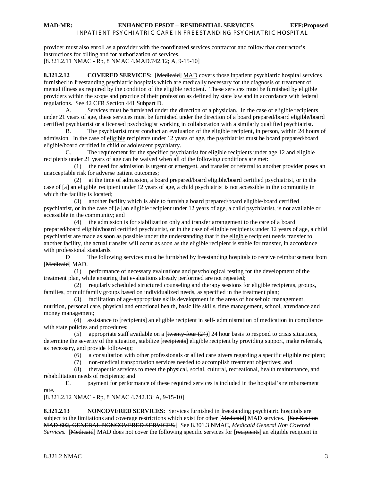provider must also enroll as a provider with the coordinated services contractor and follow that contractor's instructions for billing and for authorization of services. [8.321.2.11 NMAC - Rp, 8 NMAC 4.MAD.742.12; A, 9-15-10]

**8.321.2.12 COVERED SERVICES:** [Medicantel] MAD covers those inpatient psychiatric hospital services furnished in freestanding psychiatric hospitals which are medically necessary for the diagnosis or treatment of mental illness as required by the condition of the eligible recipient. These services must be furnished by eligible providers within the scope and practice of their profession as defined by state law and in accordance with federal regulations. See 42 CFR Section 441 Subpart D.

A. Services must be furnished under the direction of a physician. In the case of eligible recipients under 21 years of age, these services must be furnished under the direction of a board prepared/board eligible/board certified psychiatrist or a licensed psychologist working in collaboration with a similarly qualified psychiatrist.

B. The psychiatrist must conduct an evaluation of the eligible recipient, in person, within 24 hours of admission. In the case of eligible recipients under 12 years of age, the psychiatrist must be board prepared/board eligible/board certified in child or adolescent psychiatry.

C. The requirement for the specified psychiatrist for eligible recipients under age 12 and eligible recipients under 21 years of age can be waived when all of the following conditions are met:

 (1) the need for admission is urgent or emergent, and transfer or referral to another provider poses an unacceptable risk for adverse patient outcomes;

 (2) at the time of admission, a board prepared/board eligible/board certified psychiatrist, or in the case of [a] an eligible recipient under 12 years of age, a child psychiatrist is not accessible in the community in which the facility is located;

 (3) another facility which is able to furnish a board prepared/board eligible/board certified psychiatrist, or in the case of [a] an eligible recipient under 12 years of age, a child psychiatrist, is not available or accessible in the community; and

 (4) the admission is for stabilization only and transfer arrangement to the care of a board prepared/board eligible/board certified psychiatrist, or in the case of eligible recipients under 12 years of age, a child psychiatrist are made as soon as possible under the understanding that if the eligible recipient needs transfer to another facility, the actual transfer will occur as soon as the eligible recipient is stable for transfer, in accordance with professional standards.

D The following services must be furnished by freestanding hospitals to receive reimbursement from [Medicaid] MAD.

 (1) performance of necessary evaluations and psychological testing for the development of the treatment plan, while ensuring that evaluations already performed are not repeated;

(2) regularly scheduled structured counseling and therapy sessions for eligible recipients, groups, families, or multifamily groups based on individualized needs, as specified in the treatment plan;

 (3) facilitation of age-appropriate skills development in the areas of household management, nutrition, personal care, physical and emotional health, basic life skills, time management, school, attendance and money management;

(4) assistance to [recipients] an eligible recipient in self-administration of medication in compliance with state policies and procedures;

(5) appropriate staff available on a [twenty-four  $(24)$ ]  $24$  hour basis to respond to crisis situations, determine the severity of the situation, stabilize [recipients] eligible recipient by providing support, make referrals, as necessary, and provide follow-up;

(6) a consultation with other professionals or allied care givers regarding a specific eligible recipient;

(7) non-medical transportation services needed to accomplish treatment objectives; and

 (8) therapeutic services to meet the physical, social, cultural, recreational, health maintenance, and rehabilitation needs of recipients; and

E. payment for performance of these required services is included in the hospital's reimbursement rate.

[8.321.2.12 NMAC - Rp, 8 NMAC 4.742.13; A, 9-15-10]

**8.321.2.13 NONCOVERED SERVICES:** Services furnished in freestanding psychiatric hospitals are subject to the limitations and coverage restrictions which exist for other [Medieaid] MAD services. [See Section MAD-602, GENERAL NONCOVERED SERVICES.] See 8.301.3 NMAC, *Medicaid General Non Covered Services*. [Medicaid] MAD does not cover the following specific services for [recipients] an eligible recipient in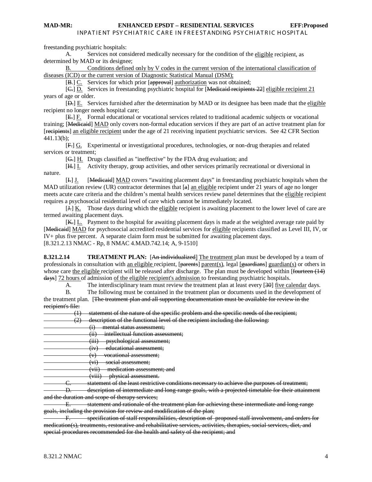freestanding psychiatric hospitals:

A. Services not considered medically necessary for the condition of the eligible recipient, as determined by MAD or its designee;

B. Conditions defined only by V codes in the current version of the international classification of diseases (ICD) or the current version of Diagnostic Statistical Manual (DSM);

[B.] C. Services for which prior [approval] authorization was not obtained;

[G.] D. Services in freestanding psychiatric hospital for [Medicaid recipients 22] eligible recipient 21 years of age or older.

[D.] E. Services furnished after the determination by MAD or its designee has been made that the eligible recipient no longer needs hospital care;

[ E.] F. Formal educational or vocational services related to traditional academic subjects or vocational training; [Medicaid] MAD only covers non-formal education services if they are part of an active treatment plan for [recipients] an eligible recipient under the age of 21 receiving inpatient psychiatric services. See 42 CFR Section 441.13(b);

[F.] G. Experimental or investigational procedures, technologies, or non-drug therapies and related services or treatment;

[G.] H. Drugs classified as "ineffective" by the FDA drug evaluation; and

[H.] I. Activity therapy, group activities, and other services primarily recreational or diversional in nature.

[I.] J. [Medicaid] MAD covers "awaiting placement days" in freestanding psychiatric hospitals when the MAD utilization review (UR) contractor determines that  $[a]$  an eligible recipient under 21 years of age no longer meets acute care criteria and the children's mental health services review panel determines that the eligible recipient requires a psychosocial residential level of care which cannot be immediately located.

[I—] K. Those days during which the eligible recipient is awaiting placement to the lower level of care are termed awaiting placement days.

[K, ]  $L$ . Payment to the hospital for awaiting placement days is made at the weighted average rate paid by [Medicaid] MAD for psychosocial accredited residential services for eligible recipients classified as Level III, IV, or [8.321.2.13 NMAC - Rp, 8 NMAC 4.MAD.742.14; A, 9-1510] IV+ plus five percent. A separate claim form must be submitted for awaiting placement days.

**8.321.2.14 TREATMENT PLAN:** [An individualized] The treatment plan must be developed by a team of professionals in consultation with an eligible recipient, [parents] parent(s), legal [guardians] guardian(s) or others in whose care the eligible recipient will be released after discharge. The plan must be developed within [fourteen (14) days] 72 hours of admission <u>of the eligible recipient's admission</u> to freestanding psychiatric hospitals.

A. The interdisciplinary team must review the treatment plan at least every [30] five calendar days.

B. The following must be contained in the treatment plan or documents used in the development of the treatment plan. [<del>The treatment plan and all supporting documentation must be available for review in the</del> recipient's file:

(1) statement of the nature of the specific problem and the specific needs of the recipient;

(2) description of the functional level of the recipient including the following:

- (i) mental status assessment;
- (ii) intellectual function assessment;
- (iii) psychological assessment;
- (iv) educational assessment;
- (v) vocational assessment;
- (vi) social assessment;
- (vii) medication assessment; and
- (viii) physical assessment.

C. statement of the least restrictive conditions necessary to achieve the purposes of treatment;

D. description of intermediate and long-range-goals, with a projected timetable for their attainment and the duration and scope of therapy services;

E. statement and rationale of the treatment plan for achieving these intermediate and long-range goals, including the provision for review and modification of the plan;

specification of staff responsibilities, description of proposed staff involvement, and orders for medication(s), treatments, restorative and rehabilitative services, activities, therapies, social services, diet, and special procedures recommended for the health and safety of the recipient; and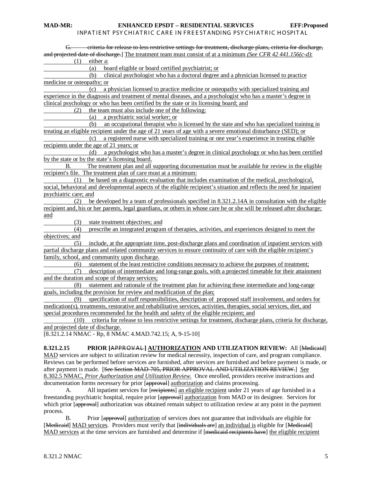| G. eriteria for release to less restrictive settings for treatment, discharge plans, criteria for discharge,            |
|-------------------------------------------------------------------------------------------------------------------------|
| and projected date of discharge.] The treatment team must consist of at a minimum (See CFR 42 441.156(c-d):             |
| (1)<br>either a:                                                                                                        |
| (a)<br>board eligible or board certified psychiatrist; or                                                               |
| clinical psychologist who has a doctoral degree and a physician licensed to practice<br>(b)                             |
| medicine or osteopathy; or                                                                                              |
| a physician licensed to practice medicine or osteopathy with specialized training and<br>(c)                            |
| experience in the diagnosis and treatment of mental diseases, and a psychologist who has a master's degree in           |
| clinical psychology or who has been certified by the state or its licensing board; and                                  |
| the team must also include one of the following:<br>(2)                                                                 |
| a psychiatric social worker; or<br>(a)                                                                                  |
| an occupational therapist who is licensed by the state and who has specialized training in<br>(b)                       |
| treating an eligible recipient under the age of 21 years of age with a severe emotional disturbance (SED); or           |
| a registered nurse with specialized training or one year's experience in treating eligible<br>(c)                       |
| recipients under the age of 21 years; or                                                                                |
| a psychologist who has a master's degree in clinical psychology or who has been certified<br>(d)                        |
| by the state or by the state's licensing board.                                                                         |
| The treatment plan and all supporting documentation must be available for review in the eligible<br>В.                  |
| recipient's file. The treatment plan of care must at a minimum:                                                         |
| be based on a diagnostic evaluation that includes examination of the medical, psychological,<br>(1)                     |
| social, behavioral and developmental aspects of the eligible recipient's situation and reflects the need for inpatient  |
| psychiatric care; and                                                                                                   |
| be developed by a team of professionals specified in 8.321.2.14A in consultation with the eligible<br>(2)               |
| recipient and, his or her parents, legal guardians, or others in whose care he or she will be released after discharge; |
| and                                                                                                                     |
| state treatment objectives; and<br>(3)                                                                                  |
| prescribe an integrated program of therapies, activities, and experiences designed to meet the<br>(4)                   |
| objectives; and                                                                                                         |
| include, at the appropriate time, post-discharge plans and coordination of inpatient services with<br>(5)               |
| partial discharge plans and related community services to ensure continuity of care with the eligible recipient's       |
| family, school, and community upon discharge.                                                                           |
| statement of the least restrictive conditions necessary to achieve the purposes of treatment;<br>(6)                    |
| description of intermediate and long-range goals, with a projected timetable for their attainment<br>(7)                |
| and the duration and scope of therapy services;                                                                         |
| statement and rationale of the treatment plan for achieving these intermediate and long-range<br>(8)                    |
| goals, including the provision for review and modification of the plan;                                                 |
| specification of staff responsibilities, description of proposed staff involvement, and orders for<br>(9)               |
| medication(s), treatments, restorative and rehabilitative services, activities, therapies, social services, diet, and   |
| special procedures recommended for the health and safety of the eligible recipient; and                                 |
| criteria for release to less restrictive settings for treatment, discharge plans, criteria for discharge,<br>(10)       |
| and projected date of discharge.                                                                                        |
| [8.321.2.14 NMAC - Rp, 8 NMAC 4.MAD.742.15; A, 9-15-10]                                                                 |
| 8.321.2.15<br>PRIOR [APPROVAL] AUTHORIZATION AND UTILIZATION REVIEW: All [Medicaid]                                     |
| MAD services are subject to utilization review for medical necessity, inspection of care, and program compliance.       |
| Reviews can be performed before services are furnished, after services are furnished and before payment is made, or     |
| etion MAD 705 DDIOD ADDDOVAL AND UTH 17 ATION DEVIEW 1                                                                  |

after payment is made. [See Section MAD-705, PRIOR APPROVAL AND UTILIZATION REVIEW.] See 8.302.5 NMAC, *Prior Authorization and Utilization Review*. Once enrolled, providers receive instructions and documentation forms necessary for prior [approval] authorization and claims processing.

A. All inpatient services for [recipients] an eligible recipient under 21 years of age furnished in a freestanding psychiatric hospital, require prior [approval] authorization from MAD or its designee. Services for which prior [approval] authorization was obtained remain subject to utilization review at any point in the payment process.

B. Prior [approval] authorization of services does not guarantee that individuals are eligible for [Medicaid] MAD services. Providers must verify that [individuals are] an individual is eligible for [Medicaid] MAD services at the time services are furnished and determine if [medicaid recipients have] the eligible recipient